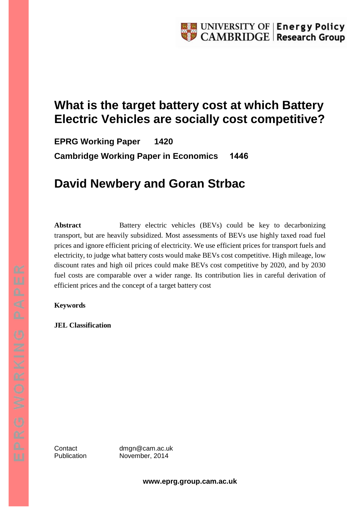# **What is the target battery cost at which Battery Electric Vehicles are socially cost competitive?**

**EPRG Working Paper 1420 Cambridge Working Paper in Economics 1446**

# **David Newbery and Goran Strbac**

**Abstract** Battery electric vehicles (BEVs) could be key to decarbonizing transport, but are heavily subsidized. Most assessments of BEVs use highly taxed road fuel prices and ignore efficient pricing of electricity. We use efficient prices for transport fuels and electricity, to judge what battery costs would make BEVs cost competitive. High mileage, low discount rates and high oil prices could make BEVs cost competitive by 2020, and by 2030 fuel costs are comparable over a wider range. Its contribution lies in careful derivation of efficient prices and the concept of a target battery cost

#### **Keywords**

**JEL Classification** 

Contact dmgn@cam.ac.uk Publication November, 2014

**www.eprg.group.cam.ac.uk**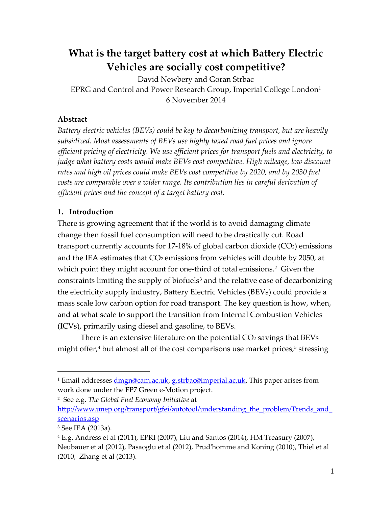## **What is the target battery cost at which Battery Electric Vehicles are socially cost competitive?**

David Newbery and Goran Strbac EPRG and Control and Power Research Group, Imperial College London $<sup>1</sup>$  $<sup>1</sup>$  $<sup>1</sup>$ </sup> 6 November 2014

## **Abstract**

*Battery electric vehicles (BEVs) could be key to decarbonizing transport, but are heavily subsidized. Most assessments of BEVs use highly taxed road fuel prices and ignore efficient pricing of electricity. We use efficient prices for transport fuels and electricity, to judge what battery costs would make BEVs cost competitive. High mileage, low discount rates and high oil prices could make BEVs cost competitive by 2020, and by 2030 fuel costs are comparable over a wider range. Its contribution lies in careful derivation of efficient prices and the concept of a target battery cost.*

## **1. Introduction**

There is growing agreement that if the world is to avoid damaging climate change then fossil fuel consumption will need to be drastically cut. Road transport currently accounts for  $17-18\%$  of global carbon dioxide (CO<sub>2</sub>) emissions and the IEA estimates that CO<sub>2</sub> emissions from vehicles will double by 2050, at which point they might account for one-third of total emissions.<sup>[2](#page-1-1)</sup> Given the constraints limiting the supply of biofuels<sup>[3](#page-1-2)</sup> and the relative ease of decarbonizing the electricity supply industry, Battery Electric Vehicles (BEVs) could provide a mass scale low carbon option for road transport. The key question is how, when, and at what scale to support the transition from Internal Combustion Vehicles (ICVs), primarily using diesel and gasoline, to BEVs.

There is an extensive literature on the potential  $CO<sub>2</sub>$  savings that BEVs might offer, $4$  but almost all of the cost comparisons use market prices, $5$  stressing

<span id="page-1-1"></span>2 See e.g. *The Global Fuel Economy Initiative* at

<span id="page-1-0"></span><sup>&</sup>lt;sup>1</sup> Email addresse[s dmgn@cam.ac.uk,](mailto:dmgn@cam.ac.uk) [g.strbac@imperial.ac.uk.](mailto:g.strbac@imperial.ac.uk) This paper arises from work done under the FP7 Green e-Motion project.

http://www.unep.org/transport/gfei/autotool/understanding the problem/Trends and [scenarios.asp](http://www.unep.org/transport/gfei/autotool/understanding_the_problem/Trends_and_scenarios.asp)

<span id="page-1-2"></span><sup>3</sup> See IEA (2013a).

<span id="page-1-3"></span> $4 E.g.$  Andress et al (2011), EPRI (2007), Liu and Santos (2014), HM Treasury (2007), Neubauer et al (2012), Pasaoglu et al (2012), Prud'homme and Koning (2010), Thiel et al (2010, Zhang et al (2013).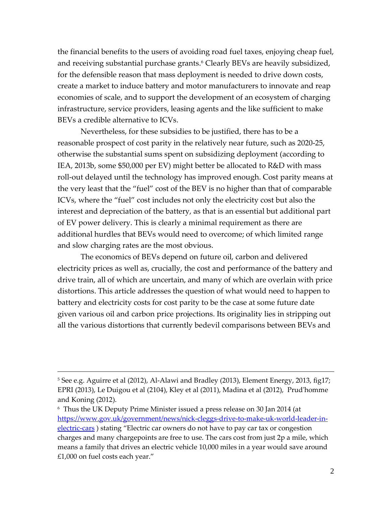the financial benefits to the users of avoiding road fuel taxes, enjoying cheap fuel, and receiving substantial purchase grants.<sup>6</sup> Clearly BEVs are heavily subsidized, for the defensible reason that mass deployment is needed to drive down costs, create a market to induce battery and motor manufacturers to innovate and reap economies of scale, and to support the development of an ecosystem of charging infrastructure, service providers, leasing agents and the like sufficient to make BEVs a credible alternative to ICVs.

Nevertheless, for these subsidies to be justified, there has to be a reasonable prospect of cost parity in the relatively near future, such as 2020-25, otherwise the substantial sums spent on subsidizing deployment (according to IEA, 2013b, some \$50,000 per EV) might better be allocated to R&D with mass roll-out delayed until the technology has improved enough. Cost parity means at the very least that the "fuel" cost of the BEV is no higher than that of comparable ICVs, where the "fuel" cost includes not only the electricity cost but also the interest and depreciation of the battery, as that is an essential but additional part of EV power delivery. This is clearly a minimal requirement as there are additional hurdles that BEVs would need to overcome; of which limited range and slow charging rates are the most obvious.

The economics of BEVs depend on future oil, carbon and delivered electricity prices as well as, crucially, the cost and performance of the battery and drive train, all of which are uncertain, and many of which are overlain with price distortions. This article addresses the question of what would need to happen to battery and electricity costs for cost parity to be the case at some future date given various oil and carbon price projections. Its originality lies in stripping out all the various distortions that currently bedevil comparisons between BEVs and

<sup>&</sup>lt;sup>5</sup> See e.g. Aguirre et al (2012), Al-Alawi and Bradley (2013), Element Energy, 2013, fig17; EPRI (2013), Le Duigou et al (2104), Kley et al (2011), Madina et al (2012), Prud'homme and Koning (2012).

<span id="page-2-0"></span><sup>6</sup> Thus the UK Deputy Prime Minister issued a press release on 30 Jan 2014 (at [https://www.gov.uk/government/news/nick-cleggs-drive-to-make-uk-world-leader-in](https://www.gov.uk/government/news/nick-cleggs-drive-to-make-uk-world-leader-in-electric-cars)[electric-cars](https://www.gov.uk/government/news/nick-cleggs-drive-to-make-uk-world-leader-in-electric-cars) ) stating "Electric car owners do not have to pay car tax or congestion charges and many chargepoints are free to use. The cars cost from just 2p a mile, which means a family that drives an electric vehicle 10,000 miles in a year would save around £1,000 on fuel costs each year."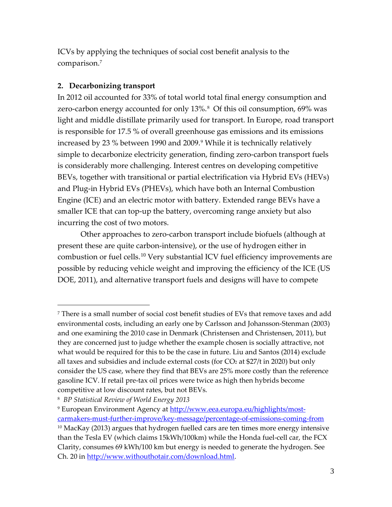ICVs by applying the techniques of social cost benefit analysis to the comparison. [7](#page-3-0)

## **2. Decarbonizing transport**

In 2012 oil accounted for 33% of total world total final energy consumption and zero-carbon energy accounted for only 13%.<sup>[8](#page-3-1)</sup> Of this oil consumption, 69% was light and middle distillate primarily used for transport. In Europe, road transport is responsible for 17.5 % of overall greenhouse gas emissions and its emissions increased by 23 % between 1[9](#page-3-2)90 and 2009.<sup>9</sup> While it is technically relatively simple to decarbonize electricity generation, finding zero-carbon transport fuels is considerably more challenging. Interest centres on developing competitive BEVs, together with transitional or partial electrification via Hybrid EVs (HEVs) and Plug-in Hybrid EVs (PHEVs), which have both an Internal Combustion Engine (ICE) and an electric motor with battery. Extended range BEVs have a smaller ICE that can top-up the battery, overcoming range anxiety but also incurring the cost of two motors.

Other approaches to zero-carbon transport include biofuels (although at present these are quite carbon-intensive), or the use of hydrogen either in combustion or fuel cells.<sup>[10](#page-3-3)</sup> Very substantial ICV fuel efficiency improvements are possible by reducing vehicle weight and improving the efficiency of the ICE (US DOE, 2011), and alternative transport fuels and designs will have to compete

<span id="page-3-0"></span><sup>7</sup> There is a small number of social cost benefit studies of EVs that remove taxes and add environmental costs, including an early one by Carlsson and Johansson-Stenman (2003) and one examining the 2010 case in Denmark (Christensen and Christensen, 2011), but they are concerned just to judge whether the example chosen is socially attractive, not what would be required for this to be the case in future. Liu and Santos (2014) exclude all taxes and subsidies and include external costs (for  $CO<sub>2</sub>$  at \$27/t in 2020) but only consider the US case, where they find that BEVs are 25% more costly than the reference gasoline ICV. If retail pre-tax oil prices were twice as high then hybrids become competitive at low discount rates, but not BEVs.

<span id="page-3-1"></span><sup>8</sup> *BP Statistical Review of World Energy 2013*

<span id="page-3-3"></span><span id="page-3-2"></span><sup>&</sup>lt;sup>9</sup> European Environment Agency at [http://www.eea.europa.eu/highlights/most](http://www.eea.europa.eu/highlights/most-carmakers-must-further-improve/key-message/percentage-of-emissions-coming-from)[carmakers-must-further-improve/key-message/percentage-of-emissions-coming-from](http://www.eea.europa.eu/highlights/most-carmakers-must-further-improve/key-message/percentage-of-emissions-coming-from)  $10$  MacKay (2013) argues that hydrogen fuelled cars are ten times more energy intensive than the Tesla EV (which claims 15kWh/100km) while the Honda fuel-cell car, the FCX Clarity, consumes 69 kWh/100 km but energy is needed to generate the hydrogen. See Ch. 20 in [http://www.withouthotair.com/download.html.](http://www.withouthotair.com/download.html)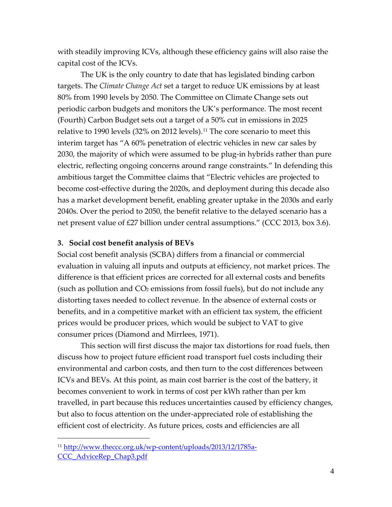with steadily improving ICVs, although these efficiency gains will also raise the capital cost of the ICVs.

The UK is the only country to date that has legislated binding carbon targets. The *Climate Change Act* set a target to reduce UK emissions by at least 80% from 1990 levels by 2050. The Committee on Climate Change sets out periodic carbon budgets and monitors the UK's performance. The most recent (Fourth) Carbon Budget sets out a target of a 50% cut in emissions in 2025 relative to 1990 levels (32% on 2012 levels). [11](#page-4-0) The core scenario to meet this interim target has "A 60% penetration of electric vehicles in new car sales by 2030, the majority of which were assumed to be plug-in hybrids rather than pure electric, reflecting ongoing concerns around range constraints." In defending this ambitious target the Committee claims that "Electric vehicles are projected to become cost-effective during the 2020s, and deployment during this decade also has a market development benefit, enabling greater uptake in the 2030s and early 2040s. Over the period to 2050, the benefit relative to the delayed scenario has a net present value of £27 billion under central assumptions." (CCC 2013, box 3.6).

#### **3. Social cost benefit analysis of BEVs**

Social cost benefit analysis (SCBA) differs from a financial or commercial evaluation in valuing all inputs and outputs at efficiency, not market prices. The difference is that efficient prices are corrected for all external costs and benefits (such as pollution and  $CO<sub>2</sub>$  emissions from fossil fuels), but do not include any distorting taxes needed to collect revenue. In the absence of external costs or benefits, and in a competitive market with an efficient tax system, the efficient prices would be producer prices, which would be subject to VAT to give consumer prices (Diamond and Mirrlees, 1971).

This section will first discuss the major tax distortions for road fuels, then discuss how to project future efficient road transport fuel costs including their environmental and carbon costs, and then turn to the cost differences between ICVs and BEVs. At this point, as main cost barrier is the cost of the battery, it becomes convenient to work in terms of cost per kWh rather than per km travelled, in part because this reduces uncertainties caused by efficiency changes, but also to focus attention on the under-appreciated role of establishing the efficient cost of electricity. As future prices, costs and efficiencies are all

<span id="page-4-0"></span><sup>11</sup> [http://www.theccc.org.uk/wp-content/uploads/2013/12/1785a-](http://www.theccc.org.uk/wp-content/uploads/2013/12/1785a-CCC_AdviceRep_Chap3.pdf)[CCC\\_AdviceRep\\_Chap3.pdf](http://www.theccc.org.uk/wp-content/uploads/2013/12/1785a-CCC_AdviceRep_Chap3.pdf)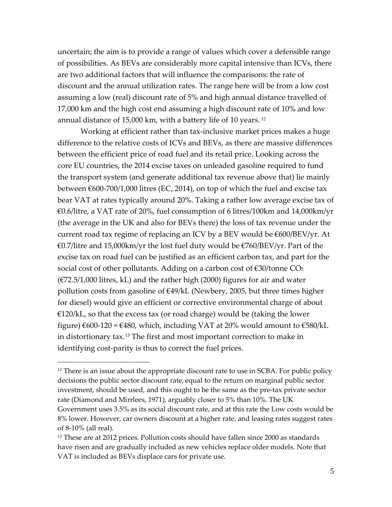uncertain; the aim is to provide a range of values which cover a defensible range of possibilities. As BEVs are considerably more capital intensive than ICVs, there are two additional factors that will influence the comparisons: the rate of discount and the annual utilization rates. The range here will be from a low cost assuming a low (real) discount rate of 5% and high annual distance travelled of 17,000 km and the high cost end assuming a high discount rate of 10% and low annual distance of 15,000 km, with a battery life of 10 years. [12](#page-5-0)

Working at efficient rather than tax-inclusive market prices makes a huge difference to the relative costs of ICVs and BEVs, as there are massive differences between the efficient price of road fuel and its retail price. Looking across the core EU countries, the 2014 excise taxes on unleaded gasoline required to fund the transport system (and generate additional tax revenue above that) lie mainly between €600-700/1,000 litres (EC, 2014), on top of which the fuel and excise tax bear VAT at rates typically around 20%. Taking a rather low average excise tax of €0.6/litre, a VAT rate of 20%, fuel consumption of 6 litres/100km and 14,000km/yr (the average in the UK and also for BEVs there) the loss of tax revenue under the current road tax regime of replacing an ICV by a BEV would be €600/BEV/yr. At €0.7/litre and 15,000km/yr the lost fuel duty would be €760/BEV/yr. Part of the excise tax on road fuel can be justified as an efficient carbon tax, and part for the social cost of other pollutants. Adding on a carbon cost of  $\epsilon$ 30/tonne CO<sub>2</sub>  $(E72.5/1,000$  litres, kL) and the rather high (2000) figures for air and water pollution costs from gasoline of €49/kL (Newbery, 2005, but three times higher for diesel) would give an efficient or corrective environmental charge of about  $E120/kL$ , so that the excess tax (or road charge) would be (taking the lower figure)  $€600-120 = €480$ , which, including VAT at 20% would amount to  $€580/kL$ in distortionary tax.[13](#page-5-1) The first and most important correction to make in identifying cost-parity is thus to correct the fuel prices.

<span id="page-5-0"></span> $12$  There is an issue about the appropriate discount rate to use in SCBA. For public policy decisions the public sector discount rate, equal to the return on marginal public sector investment, should be used, and this ought to be the same as the pre-tax private sector rate (Diamond and Mirrlees, 1971), arguably closer to 5% than 10%. The UK Government uses 3.5% as its social discount rate, and at this rate the Low costs would be 8% lower. However, car owners discount at a higher rate, and leasing rates suggest rates of 8-10% (all real).

<span id="page-5-1"></span><sup>&</sup>lt;sup>13</sup> These are at 2012 prices. Pollution costs should have fallen since 2000 as standards have risen and are gradually included as new vehicles replace older models. Note that VAT is included as BEVs displace cars for private use.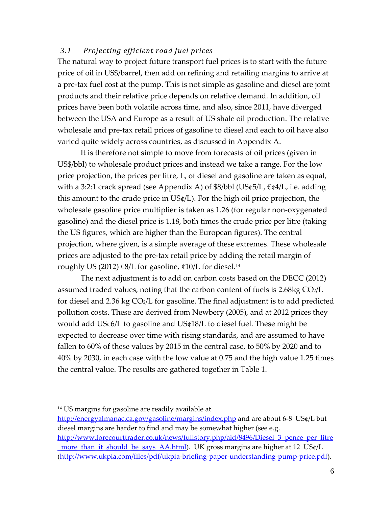## *3.1 Projecting efficient road fuel prices*

The natural way to project future transport fuel prices is to start with the future price of oil in US\$/barrel, then add on refining and retailing margins to arrive at a pre-tax fuel cost at the pump. This is not simple as gasoline and diesel are joint products and their relative price depends on relative demand. In addition, oil prices have been both volatile across time, and also, since 2011, have diverged between the USA and Europe as a result of US shale oil production. The relative wholesale and pre-tax retail prices of gasoline to diesel and each to oil have also varied quite widely across countries, as discussed in Appendix A.

It is therefore not simple to move from forecasts of oil prices (given in US\$/bbl) to wholesale product prices and instead we take a range. For the low price projection, the prices per litre, L, of diesel and gasoline are taken as equal, with a 3:2:1 crack spread (see Appendix A) of  $\frac{8}{bbl}$  (US $\frac{64}{L}$ ,  $\frac{64}{L}$ , i.e. adding this amount to the crude price in US¢/L). For the high oil price projection, the wholesale gasoline price multiplier is taken as 1.26 (for regular non-oxygenated gasoline) and the diesel price is 1.18, both times the crude price per litre (taking the US figures, which are higher than the European figures). The central projection, where given, is a simple average of these extremes. These wholesale prices are adjusted to the pre-tax retail price by adding the retail margin of roughly US (2012) ¢8/L for gasoline, ¢10/L for diesel. [14](#page-6-0)

The next adjustment is to add on carbon costs based on the DECC (2012) assumed traded values, noting that the carbon content of fuels is  $2.68kg CO<sub>2</sub>/L$ for diesel and 2.36 kg  $CO<sub>2</sub>/L$  for gasoline. The final adjustment is to add predicted pollution costs. These are derived from Newbery (2005), and at 2012 prices they would add US¢6/L to gasoline and US¢18/L to diesel fuel. These might be expected to decrease over time with rising standards, and are assumed to have fallen to 60% of these values by 2015 in the central case, to 50% by 2020 and to 40% by 2030, in each case with the low value at 0.75 and the high value 1.25 times the central value. The results are gathered together in Table 1.

 $\overline{a}$ 

<http://energyalmanac.ca.gov/gasoline/margins/index.php> and are about 6-8 US¢/L but diesel margins are harder to find and may be somewhat higher (see e.g. [http://www.forecourttrader.co.uk/news/fullstory.php/aid/8496/Diesel\\_3\\_pence\\_per\\_litre](http://www.forecourttrader.co.uk/news/fullstory.php/aid/8496/Diesel_3_pence_per_litre_more_than_it_should_be_says_AA.html) [\\_more\\_than\\_it\\_should\\_be\\_says\\_AA.html\)](http://www.forecourttrader.co.uk/news/fullstory.php/aid/8496/Diesel_3_pence_per_litre_more_than_it_should_be_says_AA.html). UK gross margins are higher at 12 US¢/L [\(http://www.ukpia.com/files/pdf/ukpia-briefing-paper-understanding-pump-price.pdf\)](http://www.ukpia.com/files/pdf/ukpia-briefing-paper-understanding-pump-price.pdf).

<span id="page-6-0"></span><sup>14</sup> US margins for gasoline are readily available at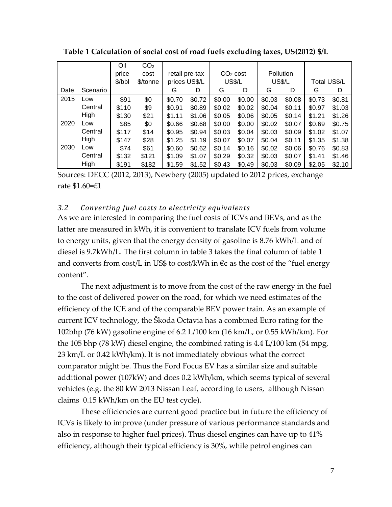|      |          | Oil    | CO <sub>2</sub> |                |        |                      |        |               |        |              |        |
|------|----------|--------|-----------------|----------------|--------|----------------------|--------|---------------|--------|--------------|--------|
|      |          | price  | cost            | retail pre-tax |        | CO <sub>2</sub> cost |        | Pollution     |        |              |        |
|      |          | \$/bbl | \$/tonne        | prices US\$/L  |        | <b>US\$/L</b>        |        | <b>US\$/L</b> |        | Total US\$/L |        |
| Date | Scenario |        |                 | G              | D      | G                    | D      | G             | D      | G            | D      |
| 2015 | Low      | \$91   | \$0             | \$0.70         | \$0.72 | \$0.00               | \$0.00 | \$0.03        | \$0.08 | \$0.73       | \$0.81 |
|      | Central  | \$110  | \$9             | \$0.91         | \$0.89 | \$0.02               | \$0.02 | \$0.04        | \$0.11 | \$0.97       | \$1.03 |
|      | High     | \$130  | \$21            | \$1.11         | \$1.06 | \$0.05               | \$0.06 | \$0.05        | \$0.14 | \$1.21       | \$1.26 |
| 2020 | Low      | \$85   | \$0             | \$0.66         | \$0.68 | \$0.00               | \$0.00 | \$0.02        | \$0.07 | \$0.69       | \$0.75 |
|      | Central  | \$117  | \$14            | \$0.95         | \$0.94 | \$0.03               | \$0.04 | \$0.03        | \$0.09 | \$1.02       | \$1.07 |
|      | High     | \$147  | \$28            | \$1.25         | \$1.19 | \$0.07               | \$0.07 | \$0.04        | \$0.11 | \$1.35       | \$1.38 |
| 2030 | Low      | \$74   | \$61            | \$0.60         | \$0.62 | \$0.14               | \$0.16 | \$0.02        | \$0.06 | \$0.76       | \$0.83 |
|      | Central  | \$132  | \$121           | \$1.09         | \$1.07 | \$0.29               | \$0.32 | \$0.03        | \$0.07 | \$1.41       | \$1.46 |
|      | High     | \$191  | \$182           | \$1.59         | \$1.52 | \$0.43               | \$0.49 | \$0.03        | \$0.09 | \$2.05       | \$2.10 |

**Table 1 Calculation of social cost of road fuels excluding taxes, US(2012) \$/L**

Sources: DECC (2012, 2013), Newbery (2005) updated to 2012 prices, exchange rate \$1.60=£1

#### *3.2 Converting fuel costs to electricity equivalents*

As we are interested in comparing the fuel costs of ICVs and BEVs, and as the latter are measured in kWh, it is convenient to translate ICV fuels from volume to energy units, given that the energy density of gasoline is 8.76 kWh/L and of diesel is 9.7kWh/L. The first column in table 3 takes the final column of table 1 and converts from cost/L in US\$ to cost/kWh in  $\epsilon$ ¢ as the cost of the "fuel energy content".

The next adjustment is to move from the cost of the raw energy in the fuel to the cost of delivered power on the road, for which we need estimates of the efficiency of the ICE and of the comparable BEV power train. As an example of current ICV technology, the Škoda Octavia has a combined Euro rating for the 102bhp (76 kW) gasoline engine of 6.2 L/100 km (16 km/L, or 0.55 kWh/km). For the 105 bhp (78 kW) diesel engine, the combined rating is 4.4 L/100 km (54 mpg, 23 km/L or 0.42 kWh/km). It is not immediately obvious what the correct comparator might be. Thus the Ford Focus EV has a similar size and suitable additional power (107kW) and does 0.2 kWh/km, which seems typical of several vehicles (e.g. the 80 kW 2013 Nissan Leaf, according to users, although Nissan claims 0.15 kWh/km on the EU test cycle).

These efficiencies are current good practice but in future the efficiency of ICVs is likely to improve (under pressure of various performance standards and also in response to higher fuel prices). Thus diesel engines can have up to 41% efficiency, although their typical efficiency is 30%, while petrol engines can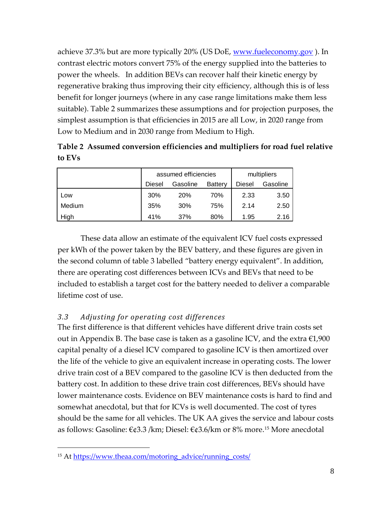achieve 37.3% but are more typically 20% (US DoE, <u>www.fueleconomy.gov</u>). In contrast electric motors convert 75% of the energy supplied into the batteries to power the wheels. In addition BEVs can recover half their kinetic energy by regenerative braking thus improving their city efficiency, although this is of less benefit for longer journeys (where in any case range limitations make them less suitable). Table 2 summarizes these assumptions and for projection purposes, the simplest assumption is that efficiencies in 2015 are all Low, in 2020 range from Low to Medium and in 2030 range from Medium to High.

**Table 2 Assumed conversion efficiencies and multipliers for road fuel relative to EVs**

|        |                                             | assumed efficiencies | multipliers |        |          |
|--------|---------------------------------------------|----------------------|-------------|--------|----------|
|        | Gasoline<br><b>Battery</b><br><b>Diesel</b> |                      |             | Diesel | Gasoline |
| LOW    | 30%                                         | 20%                  | 70%         | 2.33   | 3.50     |
| Medium | 35%                                         | 30%                  | 75%         | 2.14   | 2.50     |
| High   | 41%                                         | 37%                  | 80%         | 1.95   | 2.16     |

These data allow an estimate of the equivalent ICV fuel costs expressed per kWh of the power taken by the BEV battery, and these figures are given in the second column of table 3 labelled "battery energy equivalent". In addition, there are operating cost differences between ICVs and BEVs that need to be included to establish a target cost for the battery needed to deliver a comparable lifetime cost of use.

## *3.3 Adjusting for operating cost differences*

The first difference is that different vehicles have different drive train costs set out in Appendix B. The base case is taken as a gasoline ICV, and the extra  $\epsilon$ 1,900 capital penalty of a diesel ICV compared to gasoline ICV is then amortized over the life of the vehicle to give an equivalent increase in operating costs. The lower drive train cost of a BEV compared to the gasoline ICV is then deducted from the battery cost. In addition to these drive train cost differences, BEVs should have lower maintenance costs. Evidence on BEV maintenance costs is hard to find and somewhat anecdotal, but that for ICVs is well documented. The cost of tyres should be the same for all vehicles. The UK AA gives the service and labour costs as follows: Gasoline: €¢3.3 /km; Diesel: €¢3.6/km or 8% more[.15](#page-8-0) More anecdotal

<span id="page-8-0"></span><sup>&</sup>lt;sup>15</sup> At [https://www.theaa.com/motoring\\_advice/running\\_costs/](https://www.theaa.com/motoring_advice/running_costs/)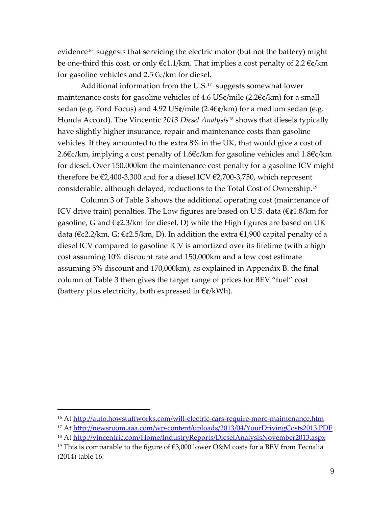evidence<sup>16</sup> suggests that servicing the electric motor (but not the battery) might be one-third this cost, or only  $\epsilon \notin 1.1/km$ . That implies a cost penalty of 2.2  $\epsilon \notin km$ for gasoline vehicles and  $2.5 \text{ }\mathfrak{C}_4$ /km for diesel.

Additional information from the U.S. $17$  suggests somewhat lower maintenance costs for gasoline vehicles of 4.6 US¢/mile (2.2 $\varepsilon$ ¢/km) for a small sedan (e.g. Ford Focus) and  $4.92$  US¢/mile (2.4 €¢/km) for a medium sedan (e.g. Honda Accord). The Vincentic *2013 Diesel Analysis*[18](#page-9-2) shows that diesels typically have slightly higher insurance, repair and maintenance costs than gasoline vehicles. If they amounted to the extra 8% in the UK, that would give a cost of 2.6€¢/km, implying a cost penalty of 1.6€¢/km for gasoline vehicles and 1.8€¢/km for diesel. Over 150,000km the maintenance cost penalty for a gasoline ICV might therefore be €2,400-3,300 and for a diesel ICV €2,700-3,750, which represent considerable, although delayed, reductions to the Total Cost of Ownership.[19](#page-9-3)

Column 3 of Table 3 shows the additional operating cost (maintenance of ICV drive train) penalties. The Low figures are based on U.S. data  $(\epsilon \in \{1.8}{km})$  for gasoline, G and €¢2.3/km for diesel, D) while the High figures are based on UK data ( $\epsilon$ ¢2.2/km, G;  $\epsilon$ ¢2.5/km, D). In addition the extra  $\epsilon$ 1,900 capital penalty of a diesel ICV compared to gasoline ICV is amortized over its lifetime (with a high cost assuming 10% discount rate and 150,000km and a low cost estimate assuming 5% discount and 170,000km), as explained in Appendix B. the final column of Table 3 then gives the target range of prices for BEV "fuel" cost (battery plus electricity, both expressed in  $\epsilon \phi/kWh$ ).

<span id="page-9-0"></span><sup>&</sup>lt;sup>16</sup> At<http://auto.howstuffworks.com/will-electric-cars-require-more-maintenance.htm>

<span id="page-9-1"></span><sup>17</sup> At<http://newsroom.aaa.com/wp-content/uploads/2013/04/YourDrivingCosts2013.PDF>

<span id="page-9-2"></span><sup>18</sup> At<http://vincentric.com/Home/IndustryReports/DieselAnalysisNovember2013.aspx>

<span id="page-9-3"></span><sup>&</sup>lt;sup>19</sup> This is comparable to the figure of  $\epsilon$ 3,000 lower O&M costs for a BEV from Tecnalia (2014) table 16.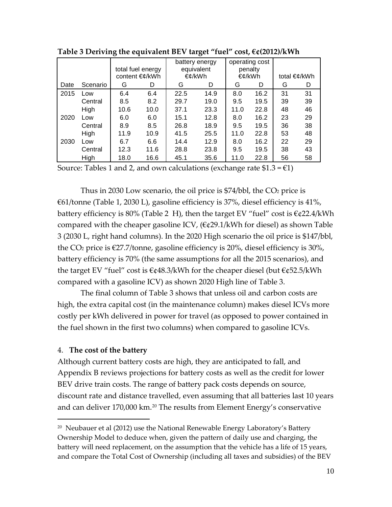|      |          | total fuel energy |      | battery energy<br>equivalent<br>€¢/kWh |      | operating cost<br>penalty<br>€¢/kWh |      |              |    |
|------|----------|-------------------|------|----------------------------------------|------|-------------------------------------|------|--------------|----|
|      |          | content €¢/kWh    |      |                                        |      |                                     |      | total €¢/kWh |    |
| Date | Scenario | G                 | D    | G                                      | D    | G                                   | D    | G            | D  |
| 2015 | Low      | 6.4               | 6.4  | 22.5                                   | 14.9 | 8.0                                 | 16.2 | 31           | 31 |
|      | Central  | 8.5               | 8.2  | 29.7                                   | 19.0 | 9.5                                 | 19.5 | 39           | 39 |
|      | High     | 10.6              | 10.0 | 37.1                                   | 23.3 | 11.0                                | 22.8 | 48           | 46 |
| 2020 | Low      | 6.0               | 6.0  | 15.1                                   | 12.8 | 8.0                                 | 16.2 | 23           | 29 |
|      | Central  | 8.9               | 8.5  | 26.8                                   | 18.9 | 9.5                                 | 19.5 | 36           | 38 |
|      | High     | 11.9              | 10.9 | 41.5                                   | 25.5 | 11.0                                | 22.8 | 53           | 48 |
| 2030 | Low      | 6.7               | 6.6  | 14.4                                   | 12.9 | 8.0                                 | 16.2 | 22           | 29 |
|      | Central  | 12.3              | 11.6 | 28.8                                   | 23.8 | 9.5                                 | 19.5 | 38           | 43 |
|      | High     | 18.0              | 16.6 | 45.1                                   | 35.6 | 11.0                                | 22.8 | 56           | 58 |

**Table 3 Deriving the equivalent BEV target "fuel" cost, €¢(2012)/kWh**

Source: Tables 1 and 2, and own calculations (exchange rate  $$1.3 = £1$ )

Thus in 2030 Low scenario, the oil price is  $\frac{1}{2}$ /bbl, the CO<sub>2</sub> price is €61/tonne (Table 1, 2030 L), gasoline efficiency is 37%, diesel efficiency is 41%, battery efficiency is 80% (Table 2 H), then the target EV "fuel" cost is  $\epsilon$ ¢22.4/kWh compared with the cheaper gasoline ICV,  $(\epsilon \varphi 29.1/\mathrm{kWh}$  for diesel) as shown Table 3 (2030 L, right hand columns). In the 2020 High scenario the oil price is \$147/bbl, the CO<sub>2</sub> price is  $\epsilon$ 27.7/tonne, gasoline efficiency is 20%, diesel efficiency is 30%, battery efficiency is 70% (the same assumptions for all the 2015 scenarios), and the target EV "fuel" cost is  $\epsilon$ ¢48.3/kWh for the cheaper diesel (but  $\epsilon$ ¢52.5/kWh compared with a gasoline ICV) as shown 2020 High line of Table 3.

The final column of Table 3 shows that unless oil and carbon costs are high, the extra capital cost (in the maintenance column) makes diesel ICVs more costly per kWh delivered in power for travel (as opposed to power contained in the fuel shown in the first two columns) when compared to gasoline ICVs.

#### 4. **The cost of the battery**

 $\overline{a}$ 

Although current battery costs are high, they are anticipated to fall, and Appendix B reviews projections for battery costs as well as the credit for lower BEV drive train costs. The range of battery pack costs depends on source, discount rate and distance travelled, even assuming that all batteries last 10 years and can deliver 170,000 km.<sup>[20](#page-10-0)</sup> The results from Element Energy's conservative

<span id="page-10-0"></span><sup>&</sup>lt;sup>20</sup> Neubauer et al (2012) use the National Renewable Energy Laboratory's Battery Ownership Model to deduce when, given the pattern of daily use and charging, the battery will need replacement, on the assumption that the vehicle has a life of 15 years, and compare the Total Cost of Ownership (including all taxes and subsidies) of the BEV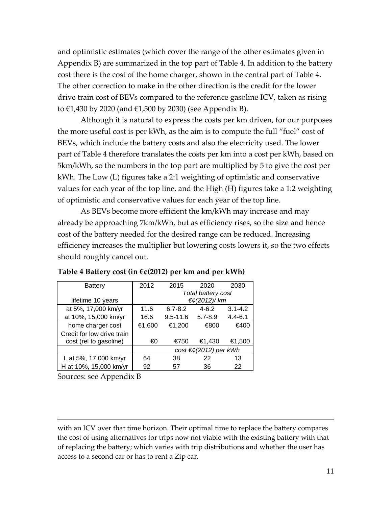and optimistic estimates (which cover the range of the other estimates given in Appendix B) are summarized in the top part of Table 4. In addition to the battery cost there is the cost of the home charger, shown in the central part of Table 4. The other correction to make in the other direction is the credit for the lower drive train cost of BEVs compared to the reference gasoline ICV, taken as rising to €1,430 by 2020 (and €1,500 by 2030) (see Appendix B).

Although it is natural to express the costs per km driven, for our purposes the more useful cost is per kWh, as the aim is to compute the full "fuel" cost of BEVs, which include the battery costs and also the electricity used. The lower part of Table 4 therefore translates the costs per km into a cost per kWh, based on 5km/kWh, so the numbers in the top part are multiplied by 5 to give the cost per kWh. The Low (L) figures take a 2:1 weighting of optimistic and conservative values for each year of the top line, and the High (H) figures take a 1:2 weighting of optimistic and conservative values for each year of the top line.

As BEVs become more efficient the km/kWh may increase and may already be approaching 7km/kWh, but as efficiency rises, so the size and hence cost of the battery needed for the desired range can be reduced. Increasing efficiency increases the multiplier but lowering costs lowers it, so the two effects should roughly cancel out.

| <b>Battery</b>             | 2012                               | 2015         | 2020        | 2030        |  |  |
|----------------------------|------------------------------------|--------------|-------------|-------------|--|--|
|                            | Total battery cost                 |              |             |             |  |  |
| lifetime 10 years          | $\epsilon \notin (2012) / km$      |              |             |             |  |  |
| at 5%, 17,000 km/yr        | 11.6                               | $6.7 - 8.2$  | $4 - 6.2$   | $3.1 - 4.2$ |  |  |
| at 10%, 15,000 km/yr       | 16.6                               | $9.5 - 11.6$ | $5.7 - 8.9$ | $4.4 - 6.1$ |  |  |
| home charger cost          | €1,600                             | €1,200       | €800        | €400        |  |  |
| Credit for low drive train |                                    |              |             |             |  |  |
| cost (rel to gasoline)     | €0                                 | €750         | €1,430      | €1,500      |  |  |
|                            | $cost \in \epsilon$ (2012) per kWh |              |             |             |  |  |
| L at 5%, 17,000 km/yr      | 64                                 | 38           | 22          | 13          |  |  |
| H at 10%, 15,000 km/yr     | 92                                 | 57           | 36          | 22          |  |  |

#### **Table 4 Battery cost (in €¢(2012) per km and per kWh)**

Sources: see Appendix B

 $\overline{a}$ 

with an ICV over that time horizon. Their optimal time to replace the battery compares the cost of using alternatives for trips now not viable with the existing battery with that of replacing the battery; which varies with trip distributions and whether the user has access to a second car or has to rent a Zip car.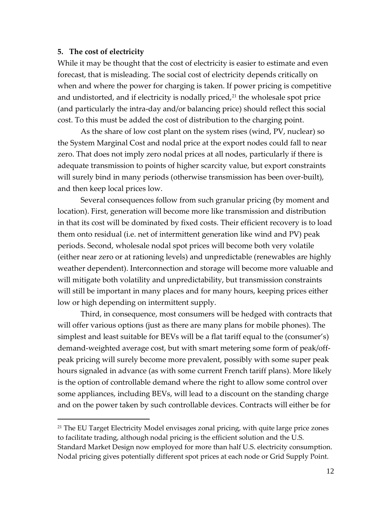#### **5. The cost of electricity**

 $\overline{a}$ 

While it may be thought that the cost of electricity is easier to estimate and even forecast, that is misleading. The social cost of electricity depends critically on when and where the power for charging is taken. If power pricing is competitive and undistorted, and if electricity is nodally priced, $21$  the wholesale spot price (and particularly the intra-day and/or balancing price) should reflect this social cost. To this must be added the cost of distribution to the charging point.

As the share of low cost plant on the system rises (wind, PV, nuclear) so the System Marginal Cost and nodal price at the export nodes could fall to near zero. That does not imply zero nodal prices at all nodes, particularly if there is adequate transmission to points of higher scarcity value, but export constraints will surely bind in many periods (otherwise transmission has been over-built), and then keep local prices low.

Several consequences follow from such granular pricing (by moment and location). First, generation will become more like transmission and distribution in that its cost will be dominated by fixed costs. Their efficient recovery is to load them onto residual (i.e. net of intermittent generation like wind and PV) peak periods. Second, wholesale nodal spot prices will become both very volatile (either near zero or at rationing levels) and unpredictable (renewables are highly weather dependent). Interconnection and storage will become more valuable and will mitigate both volatility and unpredictability, but transmission constraints will still be important in many places and for many hours, keeping prices either low or high depending on intermittent supply.

Third, in consequence, most consumers will be hedged with contracts that will offer various options (just as there are many plans for mobile phones). The simplest and least suitable for BEVs will be a flat tariff equal to the (consumer's) demand-weighted average cost, but with smart metering some form of peak/offpeak pricing will surely become more prevalent, possibly with some super peak hours signaled in advance (as with some current French tariff plans). More likely is the option of controllable demand where the right to allow some control over some appliances, including BEVs, will lead to a discount on the standing charge and on the power taken by such controllable devices. Contracts will either be for

<span id="page-12-0"></span> $21$  The EU Target Electricity Model envisages zonal pricing, with quite large price zones to facilitate trading, although nodal pricing is the efficient solution and the U.S. Standard Market Design now employed for more than half U.S. electricity consumption. Nodal pricing gives potentially different spot prices at each node or Grid Supply Point.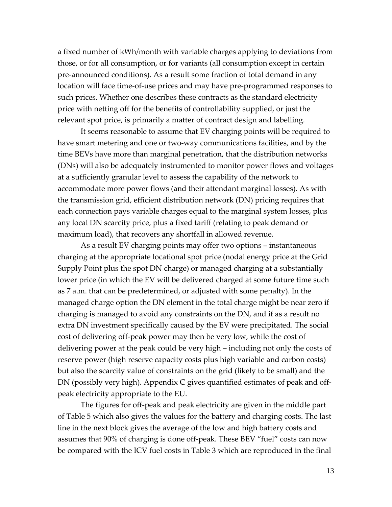a fixed number of kWh/month with variable charges applying to deviations from those, or for all consumption, or for variants (all consumption except in certain pre-announced conditions). As a result some fraction of total demand in any location will face time-of-use prices and may have pre-programmed responses to such prices. Whether one describes these contracts as the standard electricity price with netting off for the benefits of controllability supplied, or just the relevant spot price, is primarily a matter of contract design and labelling.

It seems reasonable to assume that EV charging points will be required to have smart metering and one or two-way communications facilities, and by the time BEVs have more than marginal penetration, that the distribution networks (DNs) will also be adequately instrumented to monitor power flows and voltages at a sufficiently granular level to assess the capability of the network to accommodate more power flows (and their attendant marginal losses). As with the transmission grid, efficient distribution network (DN) pricing requires that each connection pays variable charges equal to the marginal system losses, plus any local DN scarcity price, plus a fixed tariff (relating to peak demand or maximum load), that recovers any shortfall in allowed revenue.

As a result EV charging points may offer two options – instantaneous charging at the appropriate locational spot price (nodal energy price at the Grid Supply Point plus the spot DN charge) or managed charging at a substantially lower price (in which the EV will be delivered charged at some future time such as 7 a.m. that can be predetermined, or adjusted with some penalty). In the managed charge option the DN element in the total charge might be near zero if charging is managed to avoid any constraints on the DN, and if as a result no extra DN investment specifically caused by the EV were precipitated. The social cost of delivering off-peak power may then be very low, while the cost of delivering power at the peak could be very high – including not only the costs of reserve power (high reserve capacity costs plus high variable and carbon costs) but also the scarcity value of constraints on the grid (likely to be small) and the DN (possibly very high). Appendix C gives quantified estimates of peak and offpeak electricity appropriate to the EU.

The figures for off-peak and peak electricity are given in the middle part of Table 5 which also gives the values for the battery and charging costs. The last line in the next block gives the average of the low and high battery costs and assumes that 90% of charging is done off-peak. These BEV "fuel" costs can now be compared with the ICV fuel costs in Table 3 which are reproduced in the final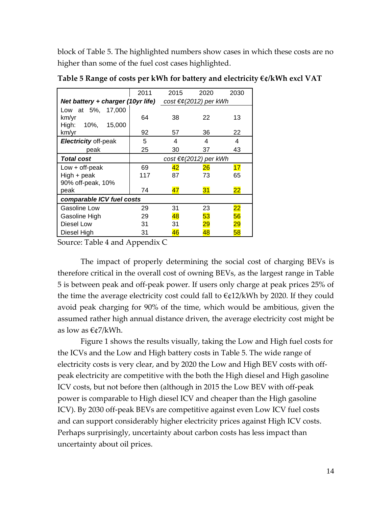block of Table 5. The highlighted numbers show cases in which these costs are no higher than some of the fuel cost cases highlighted.

|                             | 2011                               | 2015                                                                    | 2020            | 2030            |  |  |
|-----------------------------|------------------------------------|-------------------------------------------------------------------------|-----------------|-----------------|--|--|
|                             |                                    | Net battery + charger (10yr life) cost $\epsilon \notin (2012)$ per kWh |                 |                 |  |  |
| Low at 5%, 17,000           |                                    |                                                                         |                 |                 |  |  |
| km/yr                       | 64                                 | 38                                                                      | 22              | 13              |  |  |
| High:<br>10%, 15,000        |                                    |                                                                         |                 |                 |  |  |
| km/yr                       | 92                                 | 57                                                                      | 36              | 22              |  |  |
| <b>Electricity off-peak</b> | 5                                  | 4                                                                       | 4               | 4               |  |  |
| peak                        | 25                                 | 30                                                                      | 37              | 43              |  |  |
| <b>Total cost</b>           | $cost \in \epsilon$ (2012) per kWh |                                                                         |                 |                 |  |  |
| $Low + off-peak$            | 69                                 | 42                                                                      | 26              | 17              |  |  |
| High + peak                 | 117                                | 87                                                                      | 73              | 65              |  |  |
| 90% off-peak, 10%           |                                    |                                                                         |                 |                 |  |  |
| peak                        | 74                                 | 47                                                                      | 31              | 22              |  |  |
| comparable ICV fuel costs   |                                    |                                                                         |                 |                 |  |  |
| Gasoline Low                | 29                                 | 31                                                                      | 23              | 22              |  |  |
| Gasoline High               | 29                                 | 48                                                                      | 53              | 56              |  |  |
| Diesel Low                  | 31                                 | 31                                                                      | $\overline{29}$ | $\overline{29}$ |  |  |
| Diesel High                 | 31                                 | 46                                                                      | 48              | 58              |  |  |

**Table 5 Range of costs per kWh for battery and electricity €¢/kWh excl VAT**

Source: Table 4 and Appendix C

The impact of properly determining the social cost of charging BEVs is therefore critical in the overall cost of owning BEVs, as the largest range in Table 5 is between peak and off-peak power. If users only charge at peak prices 25% of the time the average electricity cost could fall to  $\epsilon$ ¢12/kWh by 2020. If they could avoid peak charging for 90% of the time, which would be ambitious, given the assumed rather high annual distance driven, the average electricity cost might be as low as €¢7/kWh.

[Figure 1](#page-15-0) shows the results visually, taking the Low and High fuel costs for the ICVs and the Low and High battery costs in Table 5. The wide range of electricity costs is very clear, and by 2020 the Low and High BEV costs with offpeak electricity are competitive with the both the High diesel and High gasoline ICV costs, but not before then (although in 2015 the Low BEV with off-peak power is comparable to High diesel ICV and cheaper than the High gasoline ICV). By 2030 off-peak BEVs are competitive against even Low ICV fuel costs and can support considerably higher electricity prices against High ICV costs. Perhaps surprisingly, uncertainty about carbon costs has less impact than uncertainty about oil prices.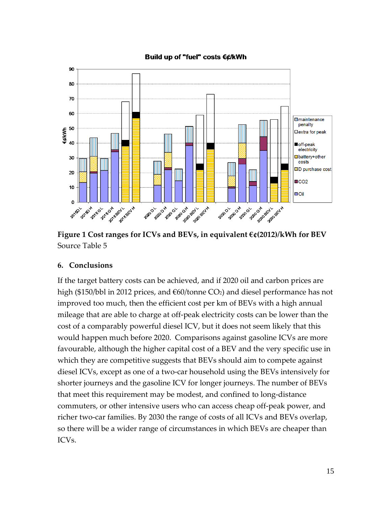

Build up of "fuel" costs €¢/kWh

<span id="page-15-0"></span>**Figure 1 Cost ranges for ICVs and BEVs, in equivalent €¢(2012)/kWh for BEV** Source Table 5

## **6. Conclusions**

If the target battery costs can be achieved, and if 2020 oil and carbon prices are high (\$150/bbl in 2012 prices, and  $\epsilon$ 60/tonne CO<sub>2</sub>) and diesel performance has not improved too much, then the efficient cost per km of BEVs with a high annual mileage that are able to charge at off-peak electricity costs can be lower than the cost of a comparably powerful diesel ICV, but it does not seem likely that this would happen much before 2020. Comparisons against gasoline ICVs are more favourable, although the higher capital cost of a BEV and the very specific use in which they are competitive suggests that BEVs should aim to compete against diesel ICVs, except as one of a two-car household using the BEVs intensively for shorter journeys and the gasoline ICV for longer journeys. The number of BEVs that meet this requirement may be modest, and confined to long-distance commuters, or other intensive users who can access cheap off-peak power, and richer two-car families. By 2030 the range of costs of all ICVs and BEVs overlap, so there will be a wider range of circumstances in which BEVs are cheaper than ICVs.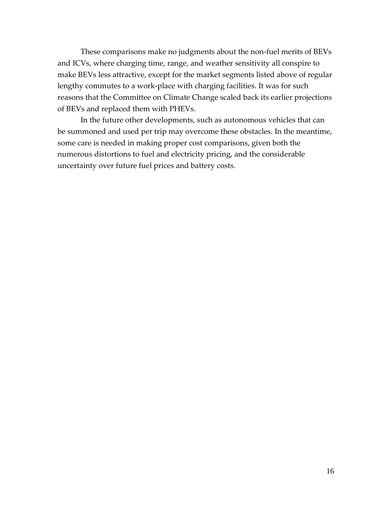These comparisons make no judgments about the non-fuel merits of BEVs and ICVs, where charging time, range, and weather sensitivity all conspire to make BEVs less attractive, except for the market segments listed above of regular lengthy commutes to a work-place with charging facilities. It was for such reasons that the Committee on Climate Change scaled back its earlier projections of BEVs and replaced them with PHEVs.

In the future other developments, such as autonomous vehicles that can be summoned and used per trip may overcome these obstacles. In the meantime, some care is needed in making proper cost comparisons, given both the numerous distortions to fuel and electricity pricing, and the considerable uncertainty over future fuel prices and battery costs.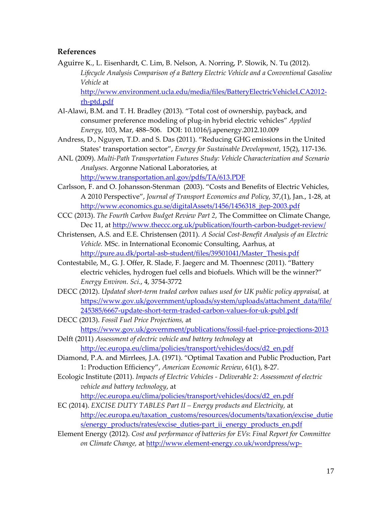#### **References**

- Aguirre K., L. Eisenhardt, C. Lim, B. Nelson, A. Norring, P. Slowik, N. Tu (2012). *Lifecycle Analysis Comparison of a Battery Electric Vehicle and a Conventional Gasoline Vehicle* at [http://www.environment.ucla.edu/media/files/BatteryElectricVehicleLCA2012](http://www.environment.ucla.edu/media/files/BatteryElectricVehicleLCA2012-rh-ptd.pdf) [rh-ptd.pdf](http://www.environment.ucla.edu/media/files/BatteryElectricVehicleLCA2012-rh-ptd.pdf)
- Al-Alawi, B.M. and T. H. Bradley (2013). "Total cost of ownership, payback, and consumer preference modeling of plug-in hybrid electric vehicles" *Applied Energy*, 103, Mar, 488–506. DOI: 10.1016/j.apenergy.2012.10.009
- Andress, D., Nguyen, T.D. and S. Das (2011). "Reducing GHG emissions in the United States' transportation sector", *Energy for Sustainable Development*, 15(2), 117-136.
- ANL (2009). *Multi-Path Transportation Futures Study: Vehicle Characterization and Scenario Analyses*. Argonne National Laboratories, at
	- <http://www.transportation.anl.gov/pdfs/TA/613.PDF>
- Carlsson, F. and O. Johansson-Stenman (2003). "Costs and Benefits of Electric Vehicles, A 2010 Perspective", *Journal of Transport Economics and Policy*, 37,(1), Jan., 1-28, at [http://www.economics.gu.se/digitalAssets/1456/1456318\\_jtep-2003.pdf](http://www.economics.gu.se/digitalAssets/1456/1456318_jtep-2003.pdf)
- CCC (2013). *The Fourth Carbon Budget Review Part 2*, The Committee on Climate Change, Dec 11, at<http://www.theccc.org.uk/publication/fourth-carbon-budget-review/>
- Christensen, A.S. and E.E. Christensen (2011). *A Social Cost-Benefit Analysis of an Electric Vehicle.* MSc. in International Economic Consulting, Aarhus, at [http://pure.au.dk/portal-asb-student/files/39501041/Master\\_Thesis.pdf](http://pure.au.dk/portal-asb-student/files/39501041/Master_Thesis.pdf)
- Contestabile, M., G. J. Offer, R. Slade, F. Jaegerc and M. Thoennesc (2011). "Battery electric vehicles, hydrogen fuel cells and biofuels. Which will be the winner?" *Energy Environ. Sci*., 4, 3754-3772
- DECC (2012). *Updated short-term traded carbon values used for UK public policy appraisal,* at [https://www.gov.uk/government/uploads/system/uploads/attachment\\_data/file/](https://www.gov.uk/government/uploads/system/uploads/attachment_data/file/245385/6667-update-short-term-traded-carbon-values-for-uk-publ.pdf) [245385/6667-update-short-term-traded-carbon-values-for-uk-publ.pdf](https://www.gov.uk/government/uploads/system/uploads/attachment_data/file/245385/6667-update-short-term-traded-carbon-values-for-uk-publ.pdf)
- DECC (2013). *Fossil Fuel Price Projections,* at <https://www.gov.uk/government/publications/fossil-fuel-price-projections-2013>
- Delft (2011) *Assessment of electric vehicle and battery technology* at [http://ec.europa.eu/clima/policies/transport/vehicles/docs/d2\\_en.pdf](http://ec.europa.eu/clima/policies/transport/vehicles/docs/d2_en.pdf)
- Diamond, P.A. and Mirrlees, J.A. (1971). "Optimal Taxation and Public Production, Part 1: Production Efficiency", *American Economic Review*, 61(1), 8-27.
- Ecologic Institute (2011). *Impacts of Electric Vehicles - Deliverable 2: Assessment of electric vehicle and battery technology*, at

[http://ec.europa.eu/clima/policies/transport/vehicles/docs/d2\\_en.pdf](http://ec.europa.eu/clima/policies/transport/vehicles/docs/d2_en.pdf)

- EC (2014). *EXCISE DUTY TABLES Part II – Energy products and Electricity,* at [http://ec.europa.eu/taxation\\_customs/resources/documents/taxation/excise\\_dutie](http://ec.europa.eu/taxation_customs/resources/documents/taxation/excise_duties/energy_products/rates/excise_duties-part_ii_energy_products_en.pdf) [s/energy\\_products/rates/excise\\_duties-part\\_ii\\_energy\\_products\\_en.pdf](http://ec.europa.eu/taxation_customs/resources/documents/taxation/excise_duties/energy_products/rates/excise_duties-part_ii_energy_products_en.pdf)
- Element Energy (2012). *Cost and performance of batteries for EVs*: *Final Report for Committee on Climate Change,* at [http://www.element-energy.co.uk/wordpress/wp-](http://www.element-energy.co.uk/wordpress/wp-content/uploads/2012/04/CCC-battery-cost_-Element-Energy-report_March2012_Public.pdf)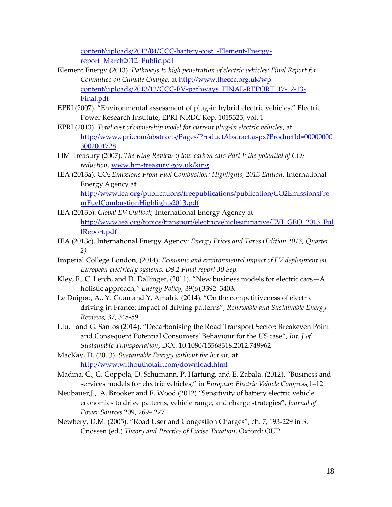[content/uploads/2012/04/CCC-battery-cost\\_-Element-Energy](http://www.element-energy.co.uk/wordpress/wp-content/uploads/2012/04/CCC-battery-cost_-Element-Energy-report_March2012_Public.pdf)[report\\_March2012\\_Public.pdf](http://www.element-energy.co.uk/wordpress/wp-content/uploads/2012/04/CCC-battery-cost_-Element-Energy-report_March2012_Public.pdf)

- Element Energy (2013). *Pathways to high penetration of electric vehicles*: *Final Report for Committee on Climate Change,* at [http://www.theccc.org.uk/wp](http://www.theccc.org.uk/wp-content/uploads/2013/12/CCC-EV-pathways_FINAL-REPORT_17-12-13-Final.pdf)[content/uploads/2013/12/CCC-EV-pathways\\_FINAL-REPORT\\_17-12-13-](http://www.theccc.org.uk/wp-content/uploads/2013/12/CCC-EV-pathways_FINAL-REPORT_17-12-13-Final.pdf) [Final.pdf](http://www.theccc.org.uk/wp-content/uploads/2013/12/CCC-EV-pathways_FINAL-REPORT_17-12-13-Final.pdf)
- EPRI (2007). "Environmental assessment of plug-in hybrid electric vehicles," Electric Power Research Institute, EPRI-NRDC Rep. 1015325, vol. 1
- EPRI (2013). *Total cost of ownership model for current plug-in electric vehicles*, at [http://www.epri.com/abstracts/Pages/ProductAbstract.aspx?ProductId=00000000](http://www.epri.com/abstracts/Pages/ProductAbstract.aspx?ProductId=000000003002001728) [3002001728](http://www.epri.com/abstracts/Pages/ProductAbstract.aspx?ProductId=000000003002001728)
- HM Treasury (2007). *The King Review of low-carbon cars Part I: the potential of CO2 reduction*, [www.hm-treasury.gov.uk/king](http://www.hm-treasury.gov.uk/king)
- IEA (2013a). CO2 *Emissions From Fuel Combustion: Highlights, 2013 Edition,* International Energy Agency at [http://www.iea.org/publications/freepublications/publication/CO2EmissionsFro](http://www.iea.org/publications/freepublications/publication/CO2EmissionsFromFuelCombustionHighlights2013.pdf) [mFuelCombustionHighlights2013.pdf](http://www.iea.org/publications/freepublications/publication/CO2EmissionsFromFuelCombustionHighlights2013.pdf)
- IEA (2013b). *Global EV Outlook,* International Energy Agency at [http://www.iea.org/topics/transport/electricvehiclesinitiative/EVI\\_GEO\\_2013\\_Ful](http://www.iea.org/topics/transport/electricvehiclesinitiative/EVI_GEO_2013_FullReport.pdf) [lReport.pdf](http://www.iea.org/topics/transport/electricvehiclesinitiative/EVI_GEO_2013_FullReport.pdf)
- IEA (2013c). International Energy Agency: *Energy Prices and Taxes (Edition 2013, Quarter 2)*
- Imperial College London, (2014). *Economic and environmental impact of EV deployment on European electricity systems. D9.2 Final report 30 Sep.*
- Kley, F., C. Lerch, and D. Dallinger, (2011). "New business models for electric cars—A holistic approach*," Energy Policy*, 39(6),3392–3403.
- Le Duigou, A., Y. Guan and Y. Amalric (2014). "On the competitiveness of electric driving in France: Impact of driving patterns", *Renewable and Sustainable Energy Reviews*, 37, 348-59
- Liu, J and G. Santos (2014). "Decarbonising the Road Transport Sector: Breakeven Point and Consequent Potential Consumers' Behaviour for the US case", *Int. J of Sustainable Transportation*, DOI: 10.1080/15568318.2012.749962
- MacKay, D. (2013). *Sustainable Energy without the hot air,* at <http://www.withouthotair.com/download.html>
- Madina, C., G. Coppola, D. Schumann, P. Hartung, and E. Zabala. (2012). "Business and services models for electric vehicles," in *European Electric Vehicle Congress*,1–12
- Neubauer,J., A. Brooker and E. Wood (2012) "Sensitivity of battery electric vehicle economics to drive patterns, vehicle range, and charge strategies", *Journal of Power Sources* 209, 269– 277
- Newbery, D.M. (2005). "Road User and Congestion Charges", ch. 7, 193-229 in S. Cnossen (ed.) *Theory and Practice of Excise Taxation*, Oxford: OUP.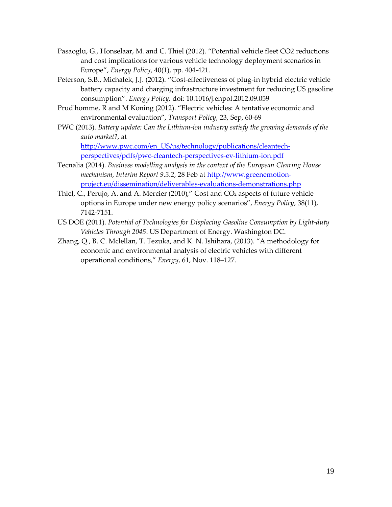- Pasaoglu, G., Honselaar, M. and C. Thiel (2012). "Potential vehicle fleet CO2 reductions and cost implications for various vehicle technology deployment scenarios in Europe", *Energy Policy*, 40(1), pp. 404-421.
- Peterson, S.B., Michalek, J.J. (2012). "Cost-effectiveness of plug-in hybrid electric vehicle battery capacity and charging infrastructure investment for reducing US gasoline consumption". *Energy Policy,* doi: 10.1016/j.enpol.2012.09.059
- Prud'homme, R and M Koning (2012). "Electric vehicles: A tentative economic and environmental evaluation", *Transport Policy*, 23, Sep, 60-69
- PWC (2013). *Battery update: Can the Lithium-ion industry satisfy the growing demands of the auto market*?, at

[http://www.pwc.com/en\\_US/us/technology/publications/cleantech](http://www.pwc.com/en_US/us/technology/publications/cleantech-perspectives/pdfs/pwc-cleantech-perspectives-ev-lithium-ion.pdf)[perspectives/pdfs/pwc-cleantech-perspectives-ev-lithium-ion.pdf](http://www.pwc.com/en_US/us/technology/publications/cleantech-perspectives/pdfs/pwc-cleantech-perspectives-ev-lithium-ion.pdf)

- Tecnalia (2014). *Business modelling analysis in the context of the European Clearing House mechanism*, *Interim Report 9.3.2*, 28 Feb at [http://www.greenemotion](http://www.greenemotion-project.eu/dissemination/deliverables-evaluations-demonstrations.php)[project.eu/dissemination/deliverables-evaluations-demonstrations.php](http://www.greenemotion-project.eu/dissemination/deliverables-evaluations-demonstrations.php)
- Thiel, C., Perujo, A. and A. Mercier (2010)," Cost and CO<sub>2</sub> aspects of future vehicle options in Europe under new energy policy scenarios", *Energy Policy*, 38(11), 7142-7151.
- US DOE (2011). *Potential of Technologies for Displacing Gasoline Consumption by Light-duty Vehicles Through 2045*. US Department of Energy. Washington DC.
- Zhang, Q., B. C. Mclellan, T. Tezuka, and K. N. Ishihara, (2013). "A methodology for economic and environmental analysis of electric vehicles with different operational conditions," *Energy*, 61, Nov. 118–127.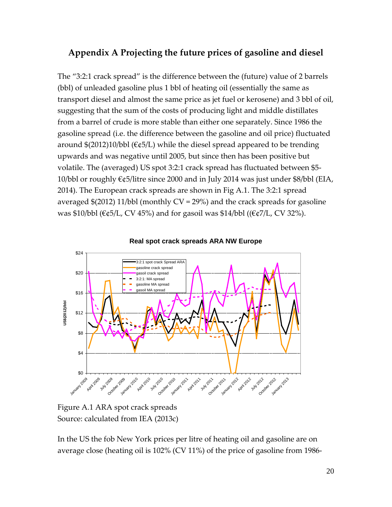## **Appendix A Projecting the future prices of gasoline and diesel**

The "3:2:1 crack spread" is the difference between the (future) value of 2 barrels (bbl) of unleaded gasoline plus 1 bbl of heating oil (essentially the same as transport diesel and almost the same price as jet fuel or kerosene) and 3 bbl of oil, suggesting that the sum of the costs of producing light and middle distillates from a barrel of crude is more stable than either one separately. Since 1986 the gasoline spread (i.e. the difference between the gasoline and oil price) fluctuated around  $$(2012)10/bbl (€¢5/L)$  while the diesel spread appeared to be trending upwards and was negative until 2005, but since then has been positive but volatile. The (averaged) US spot 3:2:1 crack spread has fluctuated between \$5- 10/bbl or roughly €¢5/litre since 2000 and in July 2014 was just under \$8/bbl (EIA, 2014). The European crack spreads are shown in Fig A.1. The 3:2:1 spread averaged \$(2012) 11/bbl (monthly CV = 29%) and the crack spreads for gasoline was \$10/bbl (€¢5/L, CV 45%) and for gasoil was \$14/bbl ((€¢7/L, CV 32%).



#### **Real spot crack spreads ARA NW Europe**

Figure A.1 ARA spot crack spreads Source: calculated from IEA (2013c)

In the US the fob New York prices per litre of heating oil and gasoline are on average close (heating oil is 102% (CV 11%) of the price of gasoline from 1986-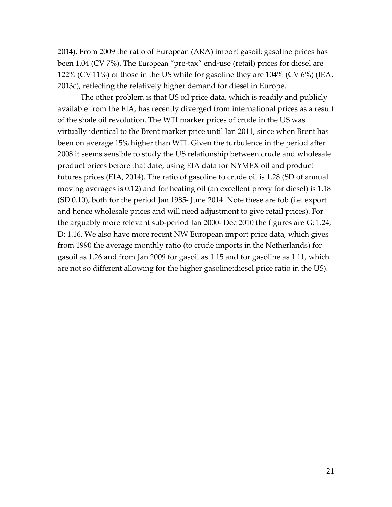2014). From 2009 the ratio of European (ARA) import gasoil: gasoline prices has been 1.04 (CV 7%). The European "pre-tax" end-use (retail) prices for diesel are 122% (CV 11%) of those in the US while for gasoline they are 104% (CV 6%) (IEA, 2013c), reflecting the relatively higher demand for diesel in Europe.

The other problem is that US oil price data, which is readily and publicly available from the EIA, has recently diverged from international prices as a result of the shale oil revolution. The WTI marker prices of crude in the US was virtually identical to the Brent marker price until Jan 2011, since when Brent has been on average 15% higher than WTI. Given the turbulence in the period after 2008 it seems sensible to study the US relationship between crude and wholesale product prices before that date, using EIA data for NYMEX oil and product futures prices (EIA, 2014). The ratio of gasoline to crude oil is 1.28 (SD of annual moving averages is 0.12) and for heating oil (an excellent proxy for diesel) is 1.18 (SD 0.10), both for the period Jan 1985- June 2014. Note these are fob (i.e. export and hence wholesale prices and will need adjustment to give retail prices). For the arguably more relevant sub-period Jan 2000- Dec 2010 the figures are G: 1.24, D: 1.16. We also have more recent NW European import price data, which gives from 1990 the average monthly ratio (to crude imports in the Netherlands) for gasoil as 1.26 and from Jan 2009 for gasoil as 1.15 and for gasoline as 1.11, which are not so different allowing for the higher gasoline:diesel price ratio in the US).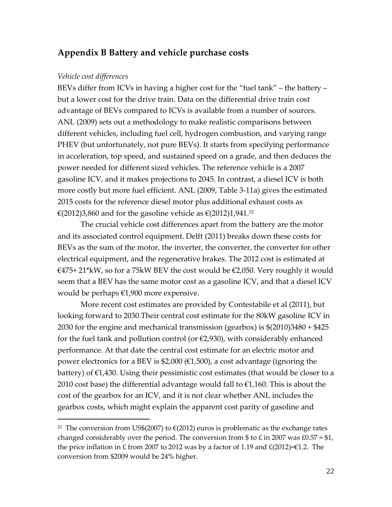## **Appendix B Battery and vehicle purchase costs**

#### *Vehicle cost differences*

 $\overline{a}$ 

BEVs differ from ICVs in having a higher cost for the "fuel tank" – the battery – but a lower cost for the drive train. Data on the differential drive train cost advantage of BEVs compared to ICVs is available from a number of sources. ANL (2009) sets out a methodology to make realistic comparisons between different vehicles, including fuel cell, hydrogen combustion, and varying range PHEV (but unfortunately, not pure BEVs). It starts from specifying performance in acceleration, top speed, and sustained speed on a grade, and then deduces the power needed for different sized vehicles. The reference vehicle is a 2007 gasoline ICV, and it makes projections to 2045. In contrast, a diesel ICV is both more costly but more fuel efficient. ANL (2009, Table 3-11a) gives the estimated 2015 costs for the reference diesel motor plus additional exhaust costs as €(2012)3,860 and for the gasoline vehicle as €(2012)1,941.<sup>[22](#page-22-0)</sup>

The crucial vehicle cost differences apart from the battery are the motor and its associated control equipment. Delft (2011) breaks down these costs for BEVs as the sum of the motor, the inverter, the converter, the converter for other electrical equipment, and the regenerative brakes. The 2012 cost is estimated at  $€475+21*kW$ , so for a 75kW BEV the cost would be  $€2,050$ . Very roughly it would seem that a BEV has the same motor cost as a gasoline ICV, and that a diesel ICV would be perhaps €1,900 more expensive.

More recent cost estimates are provided by Contestabile et al (2011), but looking forward to 2030.Their central cost estimate for the 80kW gasoline ICV in 2030 for the engine and mechanical transmission (gearbox) is \$(2010)3480 + \$425 for the fuel tank and pollution control (or  $\epsilon$ 2,930), with considerably enhanced performance. At that date the central cost estimate for an electric motor and power electronics for a BEV is \$2,000 (€1,500), a cost advantage (ignoring the battery) of  $\epsilon$ 1,430. Using their pessimistic cost estimates (that would be closer to a 2010 cost base) the differential advantage would fall to  $\epsilon$ 1,160. This is about the cost of the gearbox for an ICV, and it is not clear whether ANL includes the gearbox costs, which might explain the apparent cost parity of gasoline and

<span id="page-22-0"></span><sup>&</sup>lt;sup>22</sup> The conversion from US\$(2007) to  $\epsilon$ (2012) euros is problematic as the exchange rates changed considerably over the period. The conversion from \$ to £ in 2007 was £0.57 = \$1, the price inflation in £ from 2007 to 2012 was by a factor of 1.19 and  $\text{\textsterling}(2012)=\text{\textsterling}1.2$ . The conversion from \$2009 would be 24% higher.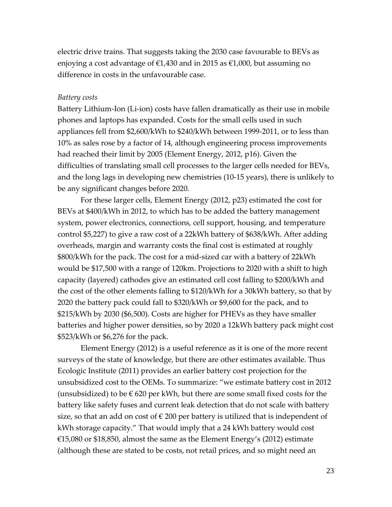electric drive trains. That suggests taking the 2030 case favourable to BEVs as enjoying a cost advantage of  $\epsilon$ 1,430 and in 2015 as  $\epsilon$ 1,000, but assuming no difference in costs in the unfavourable case.

#### *Battery costs*

Battery Lithium-Ion (Li-ion) costs have fallen dramatically as their use in mobile phones and laptops has expanded. Costs for the small cells used in such appliances fell from \$2,600/kWh to \$240/kWh between 1999-2011, or to less than 10% as sales rose by a factor of 14, although engineering process improvements had reached their limit by 2005 (Element Energy, 2012, p16). Given the difficulties of translating small cell processes to the larger cells needed for BEVs, and the long lags in developing new chemistries (10-15 years), there is unlikely to be any significant changes before 2020.

For these larger cells, Element Energy (2012, p23) estimated the cost for BEVs at \$400/kWh in 2012, to which has to be added the battery management system, power electronics, connections, cell support, housing, and temperature control \$5,227) to give a raw cost of a 22kWh battery of \$638/kWh. After adding overheads, margin and warranty costs the final cost is estimated at roughly \$800/kWh for the pack. The cost for a mid-sized car with a battery of 22kWh would be \$17,500 with a range of 120km. Projections to 2020 with a shift to high capacity (layered) cathodes give an estimated cell cost falling to \$200/kWh and the cost of the other elements falling to \$120/kWh for a 30kWh battery, so that by 2020 the battery pack could fall to \$320/kWh or \$9,600 for the pack, and to \$215/kWh by 2030 (\$6,500). Costs are higher for PHEVs as they have smaller batteries and higher power densities, so by 2020 a 12kWh battery pack might cost \$523/kWh or \$6,276 for the pack.

Element Energy (2012) is a useful reference as it is one of the more recent surveys of the state of knowledge, but there are other estimates available. Thus Ecologic Institute (2011) provides an earlier battery cost projection for the unsubsidized cost to the OEMs. To summarize: "we estimate battery cost in 2012 (unsubsidized) to be  $\epsilon$  620 per kWh, but there are some small fixed costs for the battery like safety fuses and current leak detection that do not scale with battery size, so that an add on cost of  $\epsilon$  200 per battery is utilized that is independent of kWh storage capacity." That would imply that a 24 kWh battery would cost €15,080 or \$18,850, almost the same as the Element Energy's (2012) estimate (although these are stated to be costs, not retail prices, and so might need an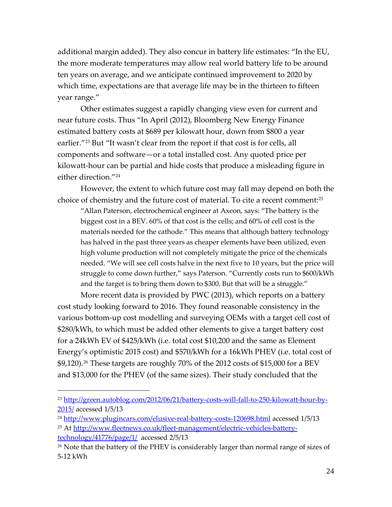additional margin added). They also concur in battery life estimates: "In the EU, the more moderate temperatures may allow real world battery life to be around ten years on average, and we anticipate continued improvement to 2020 by which time, expectations are that average life may be in the thirteen to fifteen year range."

Other estimates suggest a rapidly changing view even for current and near future costs. Thus "In April (2012), Bloomberg New Energy Finance estimated battery costs at \$689 per kilowatt hour, down from \$800 a year earlier."<sup>[23](#page-24-0)</sup> But "It wasn't clear from the report if that cost is for cells, all components and software—or a total installed cost. Any quoted price per kilowatt-hour can be partial and hide costs that produce a misleading figure in either direction."[24](#page-24-1)

However, the extent to which future cost may fall may depend on both the choice of chemistry and the future cost of material. To cite a recent comment:[25](#page-24-2)

"Allan Paterson, electrochemical engineer at Axeon, says: "The battery is the biggest cost in a BEV. 60% of that cost is the cells; and 60% of cell cost is the materials needed for the cathode." This means that although battery technology has halved in the past three years as cheaper elements have been utilized, even high volume production will not completely mitigate the price of the chemicals needed. "We will see cell costs halve in the next five to 10 years, but the price will struggle to come down further," says Paterson. "Currently costs run to \$600/kWh and the target is to bring them down to \$300. But that will be a struggle."

More recent data is provided by PWC (2013), which reports on a battery cost study looking forward to 2016. They found reasonable consistency in the various bottom-up cost modelling and surveying OEMs with a target cell cost of \$280/kWh, to which must be added other elements to give a target battery cost for a 24kWh EV of \$425/kWh (i.e. total cost \$10,200 and the same as Element Energy's optimistic 2015 cost) and \$570/kWh for a 16kWh PHEV (i.e. total cost of \$9,120).[26](#page-24-3) These targets are roughly 70% of the 2012 costs of \$15,000 for a BEV and \$13,000 for the PHEV (of the same sizes). Their study concluded that the

<span id="page-24-0"></span><sup>&</sup>lt;sup>23</sup> [http://green.autoblog.com/2012/06/21/battery-costs-will-fall-to-250-kilowatt-hour-by-](http://green.autoblog.com/2012/06/21/battery-costs-will-fall-to-250-kilowatt-hour-by-2015/)[2015/](http://green.autoblog.com/2012/06/21/battery-costs-will-fall-to-250-kilowatt-hour-by-2015/) accessed 1/5/13

<span id="page-24-1"></span><sup>&</sup>lt;sup>24</sup> <http://www.plugincars.com/elusive-real-battery-costs-120698.html> accessed 1/5/13

<span id="page-24-2"></span><sup>25</sup> At [http://www.fleetnews.co.uk/fleet-management/electric-vehicles-battery](http://www.fleetnews.co.uk/fleet-management/electric-vehicles-battery-technology/41776/page/1/)[technology/41776/page/1/](http://www.fleetnews.co.uk/fleet-management/electric-vehicles-battery-technology/41776/page/1/) accessed 2/5/13

<span id="page-24-3"></span><sup>&</sup>lt;sup>26</sup> Note that the battery of the PHEV is considerably larger than normal range of sizes of 5-12 kWh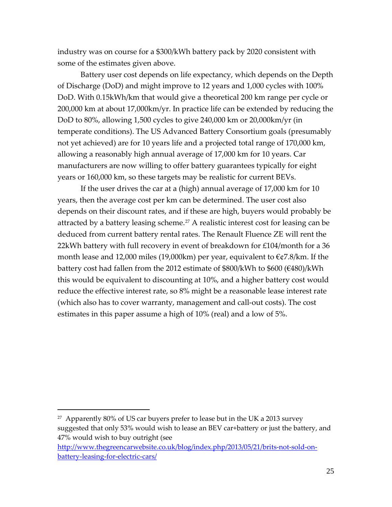industry was on course for a \$300/kWh battery pack by 2020 consistent with some of the estimates given above.

Battery user cost depends on life expectancy, which depends on the Depth of Discharge (DoD) and might improve to 12 years and 1,000 cycles with 100% DoD. With 0.15kWh/km that would give a theoretical 200 km range per cycle or 200,000 km at about 17,000km/yr. In practice life can be extended by reducing the DoD to 80%, allowing 1,500 cycles to give 240,000 km or 20,000km/yr (in temperate conditions). The US Advanced Battery Consortium goals (presumably not yet achieved) are for 10 years life and a projected total range of 170,000 km, allowing a reasonably high annual average of 17,000 km for 10 years. Car manufacturers are now willing to offer battery guarantees typically for eight years or 160,000 km, so these targets may be realistic for current BEVs.

If the user drives the car at a (high) annual average of 17,000 km for 10 years, then the average cost per km can be determined. The user cost also depends on their discount rates, and if these are high, buyers would probably be attracted by a battery leasing scheme.<sup>[27](#page-25-0)</sup> A realistic interest cost for leasing can be deduced from current battery rental rates. The Renault Fluence ZE will rent the 22kWh battery with full recovery in event of breakdown for £104/month for a 36 month lease and 12,000 miles (19,000km) per year, equivalent to €¢7.8/km. If the battery cost had fallen from the 2012 estimate of \$800/kWh to \$600 (€480)/kWh this would be equivalent to discounting at 10%, and a higher battery cost would reduce the effective interest rate, so 8% might be a reasonable lease interest rate (which also has to cover warranty, management and call-out costs). The cost estimates in this paper assume a high of 10% (real) and a low of 5%.

<span id="page-25-0"></span> $27$  Apparently 80% of US car buyers prefer to lease but in the UK a 2013 survey suggested that only 53% would wish to lease an BEV car+battery or just the battery, and 47% would wish to buy outright (see

[http://www.thegreencarwebsite.co.uk/blog/index.php/2013/05/21/brits-not-sold-on](http://www.thegreencarwebsite.co.uk/blog/index.php/2013/05/21/brits-not-sold-on-battery-leasing-for-electric-cars/)[battery-leasing-for-electric-cars/](http://www.thegreencarwebsite.co.uk/blog/index.php/2013/05/21/brits-not-sold-on-battery-leasing-for-electric-cars/)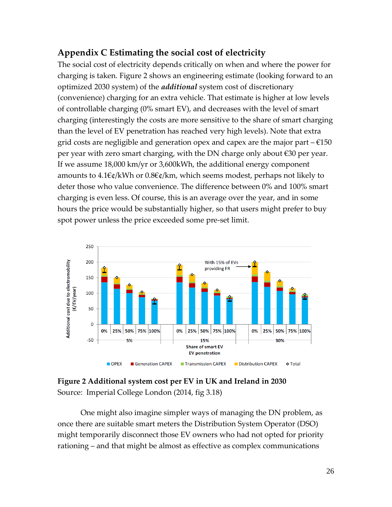## **Appendix C Estimating the social cost of electricity**

The social cost of electricity depends critically on when and where the power for charging is taken. [Figure 2](#page-26-0) shows an engineering estimate (looking forward to an optimized 2030 system) of the *additional* system cost of discretionary (convenience) charging for an extra vehicle. That estimate is higher at low levels of controllable charging (0% smart EV), and decreases with the level of smart charging (interestingly the costs are more sensitive to the share of smart charging than the level of EV penetration has reached very high levels). Note that extra grid costs are negligible and generation opex and capex are the major part  $-\epsilon$ 150 per year with zero smart charging, with the DN charge only about €30 per year. If we assume 18,000 km/yr or 3,600kWh, the additional energy component amounts to 4.1€¢/kWh or 0.8€¢/km, which seems modest, perhaps not likely to deter those who value convenience. The difference between 0% and 100% smart charging is even less. Of course, this is an average over the year, and in some hours the price would be substantially higher, so that users might prefer to buy spot power unless the price exceeded some pre-set limit.



<span id="page-26-0"></span>**Figure 2 Additional system cost per EV in UK and Ireland in 2030** Source: Imperial College London (2014, fig 3.18)

One might also imagine simpler ways of managing the DN problem, as once there are suitable smart meters the Distribution System Operator (DSO) might temporarily disconnect those EV owners who had not opted for priority rationing – and that might be almost as effective as complex communications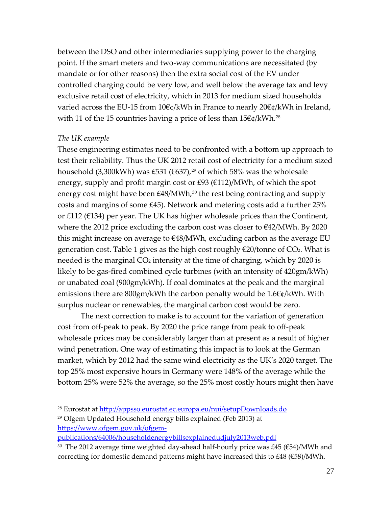between the DSO and other intermediaries supplying power to the charging point. If the smart meters and two-way communications are necessitated (by mandate or for other reasons) then the extra social cost of the EV under controlled charging could be very low, and well below the average tax and levy exclusive retail cost of electricity, which in 2013 for medium sized households varied across the EU-15 from 10€¢/kWh in France to nearly 20€¢/kWh in Ireland, with 11 of the 15 countries having a price of less than 15€¢/kWh.<sup>[28](#page-27-0)</sup>

#### *The UK example*

 $\overline{a}$ 

These engineering estimates need to be confronted with a bottom up approach to test their reliability. Thus the UK 2012 retail cost of electricity for a medium sized household (3,300kWh) was £531 (€637),<sup>[29](#page-27-1)</sup> of which 58% was the wholesale energy, supply and profit margin cost or £93 ( $\epsilon$ 112)/MWh, of which the spot energy cost might have been  $E48/MWh$ ,<sup>[30](#page-27-2)</sup> the rest being contracting and supply costs and margins of some £45). Network and metering costs add a further 25% or £112 (€134) per year. The UK has higher wholesale prices than the Continent, where the 2012 price excluding the carbon cost was closer to €42/MWh. By 2020 this might increase on average to €48/MWh, excluding carbon as the average EU generation cost. Table 1 gives as the high cost roughly  $\epsilon$ 20/tonne of CO2. What is needed is the marginal  $CO<sub>2</sub>$  intensity at the time of charging, which by 2020 is likely to be gas-fired combined cycle turbines (with an intensity of 420gm/kWh) or unabated coal (900gm/kWh). If coal dominates at the peak and the marginal emissions there are 800gm/kWh the carbon penalty would be 1.6€¢/kWh. With surplus nuclear or renewables, the marginal carbon cost would be zero.

The next correction to make is to account for the variation of generation cost from off-peak to peak. By 2020 the price range from peak to off-peak wholesale prices may be considerably larger than at present as a result of higher wind penetration. One way of estimating this impact is to look at the German market, which by 2012 had the same wind electricity as the UK's 2020 target. The top 25% most expensive hours in Germany were 148% of the average while the bottom 25% were 52% the average, so the 25% most costly hours might then have

<span id="page-27-0"></span><sup>&</sup>lt;sup>28</sup> Eurostat at<http://appsso.eurostat.ec.europa.eu/nui/setupDownloads.do>

<span id="page-27-1"></span><sup>29</sup> Ofgem Updated Household energy bills explained (Feb 2013) at [https://www.ofgem.gov.uk/ofgem-](https://www.ofgem.gov.uk/ofgem-publications/64006/householdenergybillsexplainedudjuly2013web.pdf)

[publications/64006/householdenergybillsexplainedudjuly2013web.pdf](https://www.ofgem.gov.uk/ofgem-publications/64006/householdenergybillsexplainedudjuly2013web.pdf)

<span id="page-27-2"></span><sup>&</sup>lt;sup>30</sup> The 2012 average time weighted day-ahead half-hourly price was £45 ( $\epsilon$ 54)/MWh and correcting for domestic demand patterns might have increased this to £48 (€58)/MWh.